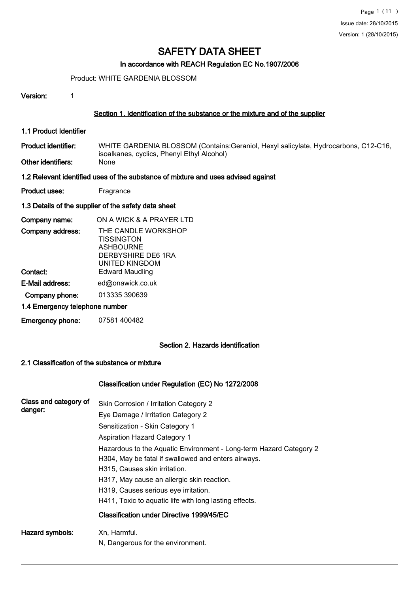# In accordance with REACH Regulation EC No.1907/2006

Product: WHITE GARDENIA BLOSSOM

Version: 1

### Section 1. Identification of the substance or the mixture and of the supplier

- 1.1 Product Identifier
- WHITE GARDENIA BLOSSOM (Contains:Geraniol, Hexyl salicylate, Hydrocarbons, C12-C16, isoalkanes, cyclics, Phenyl Ethyl Alcohol)<br>None Product identifier:
- Other identifiers:

# 1.2 Relevant identified uses of the substance of mixture and uses advised against

Product uses: Fragrance

### 1.3 Details of the supplier of the safety data sheet

| Company name:                  | ON A WICK & A PRAYER LTD                                                                                    |
|--------------------------------|-------------------------------------------------------------------------------------------------------------|
| Company address:               | THE CANDLE WORKSHOP<br><b>TISSINGTON</b><br><b>ASHBOURNE</b><br>DERBYSHIRE DE6 1RA<br><b>UNITED KINGDOM</b> |
| Contact:                       | <b>Edward Maudling</b>                                                                                      |
| E-Mail address:                | ed@onawick.co.uk                                                                                            |
| Company phone:                 | 013335 390639                                                                                               |
| 1.4 Emergency telephone number |                                                                                                             |

Emergency phone: 07581 400482

# Section 2. Hazards identification

#### 2.1 Classification of the substance or mixture

# Classification under Regulation (EC) No 1272/2008

| Class and category of<br>danger: | Skin Corrosion / Irritation Category 2<br>Eye Damage / Irritation Category 2<br>Sensitization - Skin Category 1<br><b>Aspiration Hazard Category 1</b><br>Hazardous to the Aquatic Environment - Long-term Hazard Category 2<br>H304, May be fatal if swallowed and enters airways.<br>H315, Causes skin irritation.<br>H317, May cause an allergic skin reaction.<br>H319, Causes serious eye irritation.<br>H411, Toxic to aquatic life with long lasting effects.<br>Classification under Directive 1999/45/EC |
|----------------------------------|-------------------------------------------------------------------------------------------------------------------------------------------------------------------------------------------------------------------------------------------------------------------------------------------------------------------------------------------------------------------------------------------------------------------------------------------------------------------------------------------------------------------|
| Hazard symbols:                  | Xn, Harmful.<br>N, Dangerous for the environment.                                                                                                                                                                                                                                                                                                                                                                                                                                                                 |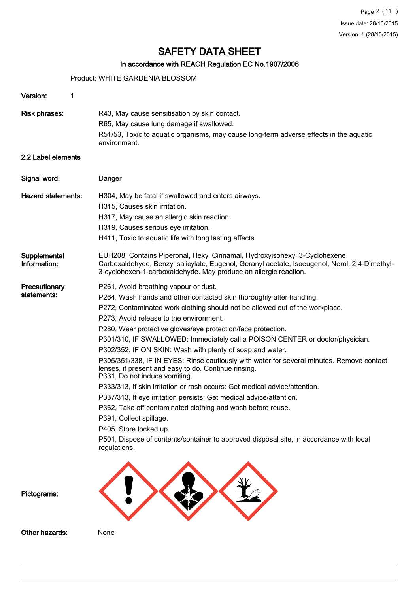# In accordance with REACH Regulation EC No.1907/2006

Product: WHITE GARDENIA BLOSSOM

| Version:<br>1                |                                                                                                                                                                                                                                                                                                                                                                                                                                                                                                                                                                                                                                                                                                                                                                                                                                                                                                                                                                                                                                  |
|------------------------------|----------------------------------------------------------------------------------------------------------------------------------------------------------------------------------------------------------------------------------------------------------------------------------------------------------------------------------------------------------------------------------------------------------------------------------------------------------------------------------------------------------------------------------------------------------------------------------------------------------------------------------------------------------------------------------------------------------------------------------------------------------------------------------------------------------------------------------------------------------------------------------------------------------------------------------------------------------------------------------------------------------------------------------|
| <b>Risk phrases:</b>         | R43, May cause sensitisation by skin contact.<br>R65, May cause lung damage if swallowed.<br>R51/53, Toxic to aquatic organisms, may cause long-term adverse effects in the aquatic<br>environment.                                                                                                                                                                                                                                                                                                                                                                                                                                                                                                                                                                                                                                                                                                                                                                                                                              |
| 2.2 Label elements           |                                                                                                                                                                                                                                                                                                                                                                                                                                                                                                                                                                                                                                                                                                                                                                                                                                                                                                                                                                                                                                  |
| Signal word:                 | Danger                                                                                                                                                                                                                                                                                                                                                                                                                                                                                                                                                                                                                                                                                                                                                                                                                                                                                                                                                                                                                           |
| <b>Hazard statements:</b>    | H304, May be fatal if swallowed and enters airways.<br>H315, Causes skin irritation.<br>H317, May cause an allergic skin reaction.<br>H319, Causes serious eye irritation.<br>H411, Toxic to aquatic life with long lasting effects.                                                                                                                                                                                                                                                                                                                                                                                                                                                                                                                                                                                                                                                                                                                                                                                             |
| Supplemental<br>Information: | EUH208, Contains Piperonal, Hexyl Cinnamal, Hydroxyisohexyl 3-Cyclohexene<br>Carboxaldehyde, Benzyl salicylate, Eugenol, Geranyl acetate, Isoeugenol, Nerol, 2,4-Dimethyl-<br>3-cyclohexen-1-carboxaldehyde. May produce an allergic reaction.                                                                                                                                                                                                                                                                                                                                                                                                                                                                                                                                                                                                                                                                                                                                                                                   |
| Precautionary<br>statements: | P261, Avoid breathing vapour or dust.<br>P264, Wash hands and other contacted skin thoroughly after handling.<br>P272, Contaminated work clothing should not be allowed out of the workplace.<br>P273, Avoid release to the environment.<br>P280, Wear protective gloves/eye protection/face protection.<br>P301/310, IF SWALLOWED: Immediately call a POISON CENTER or doctor/physician.<br>P302/352, IF ON SKIN: Wash with plenty of soap and water.<br>P305/351/338, IF IN EYES: Rinse cautiously with water for several minutes. Remove contact<br>lenses, if present and easy to do. Continue rinsing.<br>P331, Do not induce vomiting.<br>P333/313, If skin irritation or rash occurs: Get medical advice/attention.<br>P337/313, If eye irritation persists: Get medical advice/attention.<br>P362, Take off contaminated clothing and wash before reuse.<br>P391, Collect spillage.<br>P405, Store locked up.<br>P501, Dispose of contents/container to approved disposal site, in accordance with local<br>regulations. |
| Pictograms:                  |                                                                                                                                                                                                                                                                                                                                                                                                                                                                                                                                                                                                                                                                                                                                                                                                                                                                                                                                                                                                                                  |
| Other hazards:               | None                                                                                                                                                                                                                                                                                                                                                                                                                                                                                                                                                                                                                                                                                                                                                                                                                                                                                                                                                                                                                             |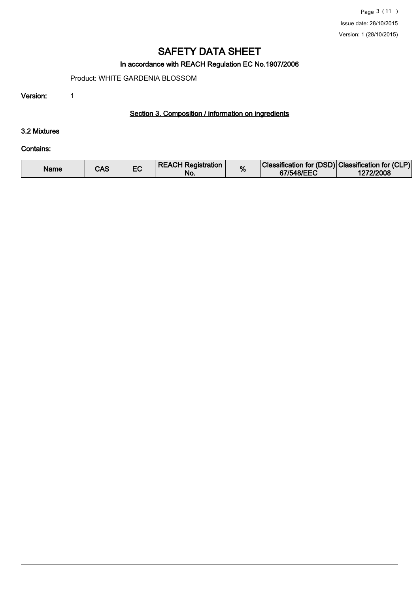# In accordance with REACH Regulation EC No.1907/2006

Product: WHITE GARDENIA BLOSSOM

Version: 1

# Section 3. Composition / information on ingredients

### 3.2 Mixtures

#### Contains:

| Name | CAS |  | <b>REACH Registration</b><br>No. | % | Classification for (DSD) Classification for (CLP)<br>67/548/EEC | 1272/2008 |
|------|-----|--|----------------------------------|---|-----------------------------------------------------------------|-----------|
|------|-----|--|----------------------------------|---|-----------------------------------------------------------------|-----------|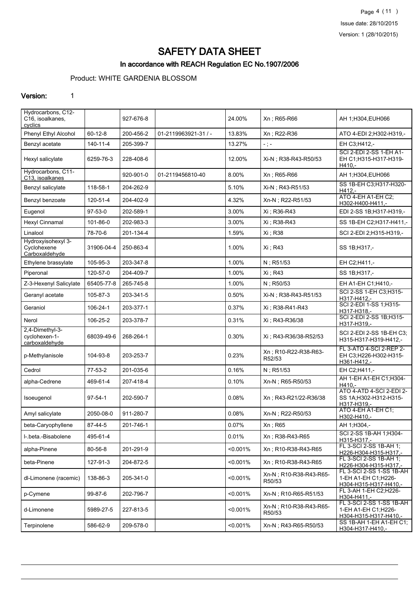Page 4 (11 ) Issue date: 28/10/2015 Version: 1 (28/10/2015)

# SAFETY DATA SHEET

# In accordance with REACH Regulation EC No.1907/2006

# Product: WHITE GARDENIA BLOSSOM

#### Version: 1

| Hydrocarbons, C12-<br>C16, isoalkanes,<br>cyclics   |                | 927-676-8 |                      | 24.00%   | Xn; R65-R66                      | AH 1;H304, EUH066                                                         |
|-----------------------------------------------------|----------------|-----------|----------------------|----------|----------------------------------|---------------------------------------------------------------------------|
| Phenyl Ethyl Alcohol                                | $60 - 12 - 8$  | 200-456-2 | 01-2119963921-31 / - | 13.83%   | Xn; R22-R36                      | ATO 4-EDI 2; H302-H319,-                                                  |
| Benzyl acetate                                      | $140 - 11 - 4$ | 205-399-7 |                      | 13.27%   | $-$ ; $-$                        | EH C3;H412,-                                                              |
| Hexyl salicylate                                    | 6259-76-3      | 228-408-6 |                      | 12.00%   | Xi-N; R38-R43-R50/53             | SCI 2-EDI 2-SS 1-EH A1-<br>EH C1;H315-H317-H319-<br>$H410 -$              |
| Hydrocarbons, C11-<br>C13, isoalkanes               |                | 920-901-0 | 01-2119456810-40     | 8.00%    | Xn; R65-R66                      | AH 1;H304,EUH066                                                          |
| Benzyl salicylate                                   | 118-58-1       | 204-262-9 |                      | 5.10%    | Xi-N ; R43-R51/53                | SS 1B-EH C3;H317-H320-<br>$H412 -$                                        |
| Benzyl benzoate                                     | 120-51-4       | 204-402-9 |                      | 4.32%    | Xn-N; R22-R51/53                 | ATO 4-EH A1-EH C2;<br>H302-H400-H411,-                                    |
| Eugenol                                             | $97-53-0$      | 202-589-1 |                      | 3.00%    | Xi ; R36-R43                     | EDI 2-SS 1B;H317-H319,-                                                   |
| Hexyl Cinnamal                                      | 101-86-0       | 202-983-3 |                      | 3.00%    | Xi ; R38-R43                     | SS 1B-EH C2; H317-H411,-                                                  |
| Linalool                                            | 78-70-6        | 201-134-4 |                      | 1.59%    | Xi ; R38                         | SCI 2-EDI 2;H315-H319,-                                                   |
| Hydroxyisohexyl 3-<br>Cyclohexene<br>Carboxaldehyde | 31906-04-4     | 250-863-4 |                      | 1.00%    | Xi ; R43                         | SS 1B; H317,-                                                             |
| Ethylene brassylate                                 | 105-95-3       | 203-347-8 |                      | 1.00%    | $N$ ; R51/53                     | EH C2;H411,-                                                              |
| Piperonal                                           | 120-57-0       | 204-409-7 |                      | 1.00%    | Xi : R43                         | SS 1B; H317,-                                                             |
| Z-3-Hexenyl Salicylate                              | 65405-77-8     | 265-745-8 |                      | 1.00%    | N; R50/53                        | EH A1-EH C1;H410,-                                                        |
| Geranyl acetate                                     | 105-87-3       | 203-341-5 |                      | 0.50%    | Xi-N; R38-R43-R51/53             | SCI 2-SS 1-EH C3:H315-<br>H317-H412,-                                     |
| Geraniol                                            | 106-24-1       | 203-377-1 |                      | 0.37%    | Xi ; R38-R41-R43                 | SCI 2-EDI 1-SS 1;H315-<br>H317-H318,-                                     |
| Nerol                                               | 106-25-2       | 203-378-7 |                      | 0.31%    | Xi; R43-R36/38                   | SCI 2-EDI 2-SS 1B;H315-<br>H317-H319,-                                    |
| 2,4-Dimethyl-3-<br>cyclohexen-1-<br>carboxaldehyde  | 68039-49-6     | 268-264-1 |                      | 0.30%    | Xi ; R43-R36/38-R52/53           | SCI 2-EDI 2-SS 1B-EH C3;<br>H315-H317-H319-H412,-                         |
| p-Methylanisole                                     | 104-93-8       | 203-253-7 |                      | 0.23%    | Xn; R10-R22-R38-R63-<br>R52/53   | FL 3-ATO 4-SCI 2-REP 2-<br>EH C3;H226-H302-H315-<br>H361-H412,-           |
| Cedrol                                              | 77-53-2        | 201-035-6 |                      | 0.16%    | N; R51/53                        | EH C2;H411,-                                                              |
| alpha-Cedrene                                       | 469-61-4       | 207-418-4 |                      | 0.10%    | Xn-N; R65-R50/53                 | AH 1-EH A1-EH C1; H304-<br>H410.-                                         |
| Isoeugenol                                          | $97 - 54 - 1$  | 202-590-7 |                      | 0.08%    | Xn; R43-R21/22-R36/38            | ATO 4-ATD 4-SCI 2-EDI 2-<br>SS 1A:H302-H312-H315-<br>H317-H319,-          |
| Amyl salicylate                                     | 2050-08-0      | 911-280-7 |                      | 0.08%    | Xn-N; R22-R50/53                 | ATO 4-EH A1-EH C1:<br>H302-H410,-                                         |
| beta-Caryophyllene                                  | 87-44-5        | 201-746-1 |                      | 0.07%    | Xn; R65                          | AH 1;H304,-                                                               |
| I- beta - Bisabolene                                | 495-61-4       |           |                      | 0.01%    | Xn: R38-R43-R65                  | SCI 2-SS 1B-AH 1:H304-<br>H315-H317,-                                     |
| alpha-Pinene                                        | 80-56-8        | 201-291-9 |                      | < 0.001% | Xn; R10-R38-R43-R65              | FL 3-SCI 2-SS 1B-AH 1:<br>H226-H304-H315-H317,-                           |
| beta-Pinene                                         | 127-91-3       | 204-872-5 |                      | < 0.001% | Xn: R10-R38-R43-R65              | FL 3-SCI 2-SS 1B-AH 1;<br>H226-H304-H315-H317,-                           |
| dl-Limonene (racemic)                               | 138-86-3       | 205-341-0 |                      | < 0.001% | Xn-N; R10-R38-R43-R65-<br>R50/53 | FL 3-SCI 2-SS 1-SS 1B-AH<br>1-EH A1-EH C1; H226-<br>H304-H315-H317-H410.- |
| p-Cymene                                            | 99-87-6        | 202-796-7 |                      | < 0.001% | Xn-N : R10-R65-R51/53            | FL 3-AH 1-EH C2;H226-<br>H304-H411,-                                      |
| d-Limonene                                          | 5989-27-5      | 227-813-5 |                      | < 0.001% | Xn-N; R10-R38-R43-R65-<br>R50/53 | FL 3-SCI 2-SS 1-SS 1B-AH<br>1-EH A1-EH C1;H226-<br>H304-H315-H317-H410 -  |
| Terpinolene                                         | 586-62-9       | 209-578-0 |                      | < 0.001% | Xn-N; R43-R65-R50/53             | SS 1B-AH 1-EH A1-EH C1;<br>H304-H317-H410,-                               |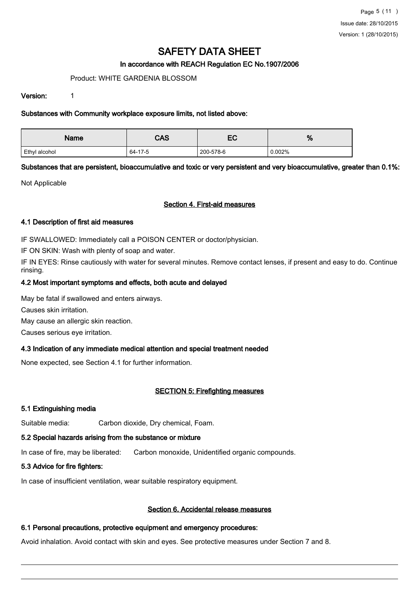### In accordance with REACH Regulation EC No.1907/2006

### Product: WHITE GARDENIA BLOSSOM

#### Version: 1

### Substances with Community workplace exposure limits, not listed above:

| Name          | <b>CAS</b> | гΩ<br>ᇊ   | %      |
|---------------|------------|-----------|--------|
| Ethyl alcohol | 64-17-5    | 200-578-6 | 0.002% |

Substances that are persistent, bioaccumulative and toxic or very persistent and very bioaccumulative, greater than 0.1%:

Not Applicable

# Section 4. First-aid measures

### 4.1 Description of first aid measures

IF SWALLOWED: Immediately call a POISON CENTER or doctor/physician.

IF ON SKIN: Wash with plenty of soap and water.

IF IN EYES: Rinse cautiously with water for several minutes. Remove contact lenses, if present and easy to do. Continue rinsing.

# 4.2 Most important symptoms and effects, both acute and delayed

May be fatal if swallowed and enters airways.

Causes skin irritation.

May cause an allergic skin reaction.

Causes serious eye irritation.

# 4.3 Indication of any immediate medical attention and special treatment needed

None expected, see Section 4.1 for further information.

# SECTION 5: Firefighting measures

# 5.1 Extinguishing media

Suitable media: Carbon dioxide, Dry chemical, Foam.

# 5.2 Special hazards arising from the substance or mixture

In case of fire, may be liberated: Carbon monoxide, Unidentified organic compounds.

# 5.3 Advice for fire fighters:

In case of insufficient ventilation, wear suitable respiratory equipment.

# Section 6. Accidental release measures

# 6.1 Personal precautions, protective equipment and emergency procedures:

Avoid inhalation. Avoid contact with skin and eyes. See protective measures under Section 7 and 8.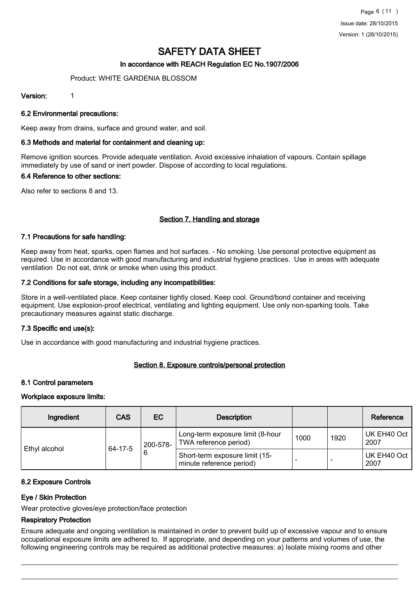# In accordance with REACH Regulation EC No.1907/2006

### Product: WHITE GARDENIA BLOSSOM

### Version: 1

### 6.2 Environmental precautions:

Keep away from drains, surface and ground water, and soil.

### 6.3 Methods and material for containment and cleaning up:

Remove ignition sources. Provide adequate ventilation. Avoid excessive inhalation of vapours. Contain spillage immediately by use of sand or inert powder. Dispose of according to local regulations.

#### 6.4 Reference to other sections:

Also refer to sections 8 and 13.

# Section 7. Handling and storage

### 7.1 Precautions for safe handling:

Keep away from heat, sparks, open flames and hot surfaces. - No smoking. Use personal protective equipment as required. Use in accordance with good manufacturing and industrial hygiene practices. Use in areas with adequate ventilation Do not eat, drink or smoke when using this product.

### 7.2 Conditions for safe storage, including any incompatibilities:

Store in a well-ventilated place. Keep container tightly closed. Keep cool. Ground/bond container and receiving equipment. Use explosion-proof electrical, ventilating and lighting equipment. Use only non-sparking tools. Take precautionary measures against static discharge.

# 7.3 Specific end use(s):

Use in accordance with good manufacturing and industrial hygiene practices.

#### Section 8. Exposure controls/personal protection

#### 8.1 Control parameters

#### Workplace exposure limits:

| Ingredient    | <b>CAS</b>   | EC       | <b>Description</b>                                         |      |      | Reference           |
|---------------|--------------|----------|------------------------------------------------------------|------|------|---------------------|
| Ethyl alcohol | 64-17-5<br>6 | 200-578- | Long-term exposure limit (8-hour<br>TWA reference period)  | 1000 | 1920 | UK EH40 Oct<br>2007 |
|               |              |          | Short-term exposure limit (15-<br>minute reference period) |      |      | UK EH40 Oct<br>2007 |

# 8.2 Exposure Controls

# Eye / Skin Protection

Wear protective gloves/eye protection/face protection

# Respiratory Protection

Ensure adequate and ongoing ventilation is maintained in order to prevent build up of excessive vapour and to ensure occupational exposure limits are adhered to. If appropriate, and depending on your patterns and volumes of use, the following engineering controls may be required as additional protective measures: a) Isolate mixing rooms and other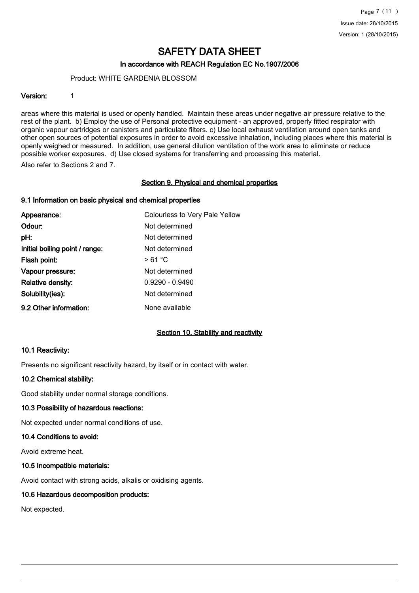### In accordance with REACH Regulation EC No.1907/2006

#### Product: WHITE GARDENIA BLOSSOM

#### Version: 1

areas where this material is used or openly handled. Maintain these areas under negative air pressure relative to the rest of the plant. b) Employ the use of Personal protective equipment - an approved, properly fitted respirator with organic vapour cartridges or canisters and particulate filters. c) Use local exhaust ventilation around open tanks and other open sources of potential exposures in order to avoid excessive inhalation, including places where this material is openly weighed or measured. In addition, use general dilution ventilation of the work area to eliminate or reduce possible worker exposures. d) Use closed systems for transferring and processing this material.

Also refer to Sections 2 and 7.

### Section 9. Physical and chemical properties

### 9.1 Information on basic physical and chemical properties

| Appearance:                    | Colourless to Very Pale Yellow |
|--------------------------------|--------------------------------|
| Odour:                         | Not determined                 |
| pH:                            | Not determined                 |
| Initial boiling point / range: | Not determined                 |
| Flash point:                   | >61 °C                         |
| Vapour pressure:               | Not determined                 |
| <b>Relative density:</b>       | $0.9290 - 0.9490$              |
| Solubility(ies):               | Not determined                 |
| 9.2 Other information:         | None available                 |

# Section 10. Stability and reactivity

#### 10.1 Reactivity:

Presents no significant reactivity hazard, by itself or in contact with water.

#### 10.2 Chemical stability:

Good stability under normal storage conditions.

#### 10.3 Possibility of hazardous reactions:

Not expected under normal conditions of use.

#### 10.4 Conditions to avoid:

Avoid extreme heat.

#### 10.5 Incompatible materials:

Avoid contact with strong acids, alkalis or oxidising agents.

#### 10.6 Hazardous decomposition products:

Not expected.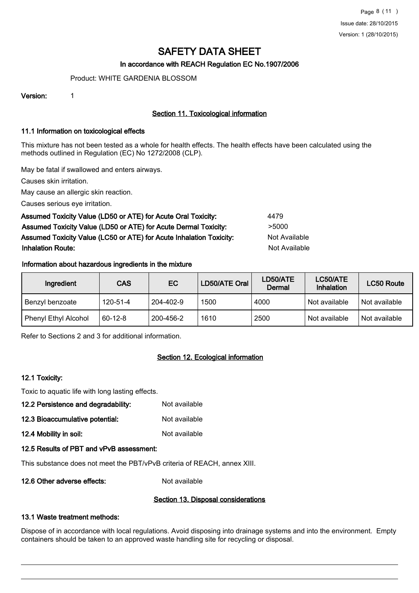# In accordance with REACH Regulation EC No.1907/2006

Product: WHITE GARDENIA BLOSSOM

Version: 1

# Section 11. Toxicological information

### 11.1 Information on toxicological effects

This mixture has not been tested as a whole for health effects. The health effects have been calculated using the methods outlined in Regulation (EC) No 1272/2008 (CLP).

May be fatal if swallowed and enters airways.

Causes skin irritation.

May cause an allergic skin reaction.

Causes serious eye irritation.

# Assumed Toxicity Value (LD50 or ATE) for Acute Oral Toxicity: 4479 Assumed Toxicity Value (LD50 or ATE) for Acute Dermal Toxicity: > 5000 Assumed Toxicity Value (LC50 or ATE) for Acute Inhalation Toxicity: Not Available **Inhalation Route:** Not Available in the United States of Available in the United States of Available in the United States of Available in the United States of Available in the United States of Available in the United Stat

# Information about hazardous ingredients in the mixture

| Ingredient           | CAS           | EC        | LD50/ATE Oral | LD50/ATE<br>Dermal | LC50/ATE<br>Inhalation | LC50 Route    |
|----------------------|---------------|-----------|---------------|--------------------|------------------------|---------------|
| Benzyl benzoate      | 120-51-4      | 204-402-9 | 1500          | 4000               | Not available          | Not available |
| Phenyl Ethyl Alcohol | $60 - 12 - 8$ | 200-456-2 | 1610          | 2500               | Not available          | Not available |

Refer to Sections 2 and 3 for additional information.

# Section 12. Ecological information

# 12.1 Toxicity:

Toxic to aquatic life with long lasting effects.

- 12.2 Persistence and degradability: Not available
- 12.3 Bioaccumulative potential: Not available
- 12.4 Mobility in soil: Not available

# 12.5 Results of PBT and vPvB assessment:

This substance does not meet the PBT/vPvB criteria of REACH, annex XIII.

12.6 Other adverse effects: Not available

# Section 13. Disposal considerations

# 13.1 Waste treatment methods:

Dispose of in accordance with local regulations. Avoid disposing into drainage systems and into the environment. Empty containers should be taken to an approved waste handling site for recycling or disposal.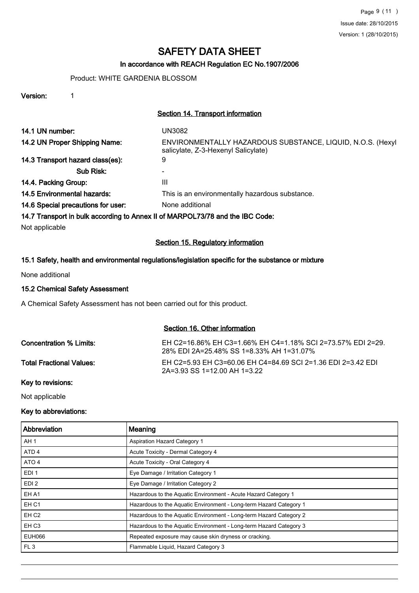# In accordance with REACH Regulation EC No.1907/2006

# Product: WHITE GARDENIA BLOSSOM

Version: 1

#### Section 14. Transport information

| 14.1 UN number:                                                               | UN3082                                                                                            |
|-------------------------------------------------------------------------------|---------------------------------------------------------------------------------------------------|
| 14.2 UN Proper Shipping Name:                                                 | ENVIRONMENTALLY HAZARDOUS SUBSTANCE, LIQUID, N.O.S. (Hexyl<br>salicylate, Z-3-Hexenyl Salicylate) |
| 14.3 Transport hazard class(es):                                              | 9                                                                                                 |
| Sub Risk:                                                                     |                                                                                                   |
| 14.4. Packing Group:                                                          | $\mathbf{III}$                                                                                    |
| 14.5 Environmental hazards:                                                   | This is an environmentally hazardous substance.                                                   |
| 14.6 Special precautions for user:                                            | None additional                                                                                   |
| 14.7 Transport in bulk according to Annex II of MARPOL73/78 and the IBC Code: |                                                                                                   |

Not applicable

### Section 15. Regulatory information

# 15.1 Safety, health and environmental regulations/legislation specific for the substance or mixture

None additional

### 15.2 Chemical Safety Assessment

A Chemical Safety Assessment has not been carried out for this product.

#### Section 16. Other information

| Concentration % Limits:  | EH C2=16.86% EH C3=1.66% EH C4=1.18% SCI 2=73.57% EDI 2=29.<br>28% EDI 2A=25.48% SS 1=8.33% AH 1=31.07% |
|--------------------------|---------------------------------------------------------------------------------------------------------|
| Total Fractional Values: | FH C2=5.93 FH C3=60.06 FH C4=84.69 SCI 2=1.36 FDI 2=3.42 FDI<br>2A=3.93 SS 1=12.00 AH 1=3.22            |

Key to revisions:

Not applicable

#### Key to abbreviations:

| l Abbreviation   | Meaning                                                            |
|------------------|--------------------------------------------------------------------|
| AH <sub>1</sub>  | <b>Aspiration Hazard Category 1</b>                                |
| ATD <sub>4</sub> | Acute Toxicity - Dermal Category 4                                 |
| ATO <sub>4</sub> | Acute Toxicity - Oral Category 4                                   |
| EDI <sub>1</sub> | Eye Damage / Irritation Category 1                                 |
| EDI <sub>2</sub> | Eye Damage / Irritation Category 2                                 |
| EH A1            | Hazardous to the Aquatic Environment - Acute Hazard Category 1     |
| EH <sub>C1</sub> | Hazardous to the Aquatic Environment - Long-term Hazard Category 1 |
| EH <sub>C2</sub> | Hazardous to the Aquatic Environment - Long-term Hazard Category 2 |
| EH <sub>C3</sub> | Hazardous to the Aquatic Environment - Long-term Hazard Category 3 |
| <b>EUH066</b>    | Repeated exposure may cause skin dryness or cracking.              |
| FL3              | Flammable Liquid, Hazard Category 3                                |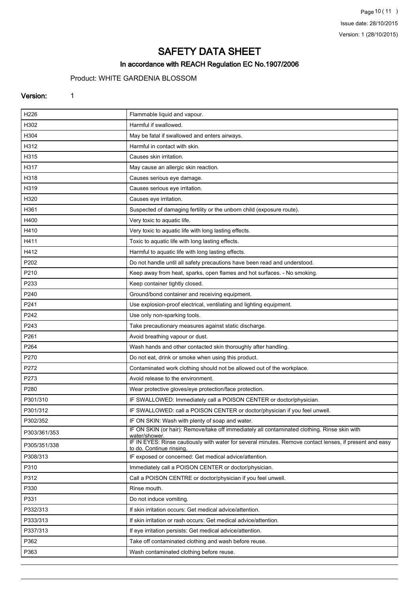Page 10 (11) Issue date: 28/10/2015 Version: 1 (28/10/2015)

# SAFETY DATA SHEET

# In accordance with REACH Regulation EC No.1907/2006

# Product: WHITE GARDENIA BLOSSOM

### Version: 1

| H226         | Flammable liquid and vapour.                                                                                                        |
|--------------|-------------------------------------------------------------------------------------------------------------------------------------|
| H302         | Harmful if swallowed.                                                                                                               |
| H304         | May be fatal if swallowed and enters airways.                                                                                       |
| H312         | Harmful in contact with skin.                                                                                                       |
| H315         | Causes skin irritation.                                                                                                             |
| H317         | May cause an allergic skin reaction.                                                                                                |
| H318         | Causes serious eye damage.                                                                                                          |
| H319         | Causes serious eye irritation.                                                                                                      |
| H320         | Causes eye irritation.                                                                                                              |
| H361         | Suspected of damaging fertility or the unborn child (exposure route).                                                               |
| H400         | Very toxic to aquatic life.                                                                                                         |
| H410         | Very toxic to aquatic life with long lasting effects.                                                                               |
| H411         | Toxic to aquatic life with long lasting effects.                                                                                    |
| H412         | Harmful to aquatic life with long lasting effects.                                                                                  |
| P202         | Do not handle until all safety precautions have been read and understood.                                                           |
| P210         | Keep away from heat, sparks, open flames and hot surfaces. - No smoking.                                                            |
| P233         | Keep container tightly closed.                                                                                                      |
| P240         | Ground/bond container and receiving equipment.                                                                                      |
| P241         | Use explosion-proof electrical, ventilating and lighting equipment.                                                                 |
| P242         | Use only non-sparking tools.                                                                                                        |
| P243         | Take precautionary measures against static discharge.                                                                               |
| P261         | Avoid breathing vapour or dust.                                                                                                     |
| P264         | Wash hands and other contacted skin thoroughly after handling.                                                                      |
| P270         | Do not eat, drink or smoke when using this product.                                                                                 |
| P272         | Contaminated work clothing should not be allowed out of the workplace.                                                              |
| P273         | Avoid release to the environment.                                                                                                   |
| P280         | Wear protective gloves/eye protection/face protection.                                                                              |
| P301/310     | IF SWALLOWED: Immediately call a POISON CENTER or doctor/physician.                                                                 |
| P301/312     | IF SWALLOWED: call a POISON CENTER or doctor/physician if you feel unwell.                                                          |
| P302/352     | IF ON SKIN: Wash with plenty of soap and water.                                                                                     |
| P303/361/353 | IF ON SKIN (or hair): Remove/take off immediately all contaminated clothing. Rinse skin with<br>water/shower.                       |
| P305/351/338 | IF IN EYES: Rinse cautiously with water for several minutes. Remove contact lenses, if present and easy<br>to do. Continue rinsing. |
| P308/313     | IF exposed or concerned: Get medical advice/attention.                                                                              |
| P310         | Immediately call a POISON CENTER or doctor/physician.                                                                               |
| P312         | Call a POISON CENTRE or doctor/physician if you feel unwell.                                                                        |
| P330         | Rinse mouth.                                                                                                                        |
| P331         | Do not induce vomiting.                                                                                                             |
| P332/313     | If skin irritation occurs: Get medical advice/attention.                                                                            |
| P333/313     | If skin irritation or rash occurs: Get medical advice/attention.                                                                    |
| P337/313     | If eye irritation persists: Get medical advice/attention.                                                                           |
| P362         | Take off contaminated clothing and wash before reuse.                                                                               |
| P363         | Wash contaminated clothing before reuse.                                                                                            |